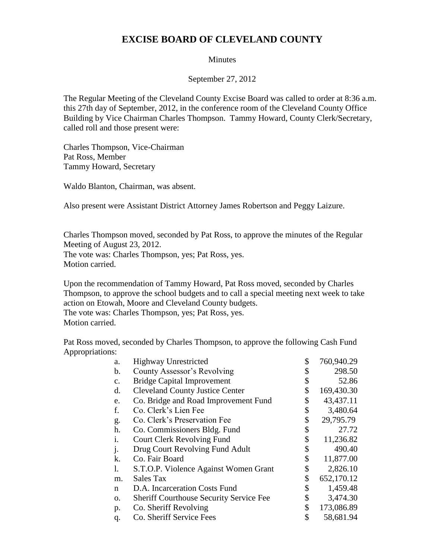## **EXCISE BOARD OF CLEVELAND COUNTY**

## **Minutes**

September 27, 2012

The Regular Meeting of the Cleveland County Excise Board was called to order at 8:36 a.m. this 27th day of September, 2012, in the conference room of the Cleveland County Office Building by Vice Chairman Charles Thompson. Tammy Howard, County Clerk/Secretary, called roll and those present were:

Charles Thompson, Vice-Chairman Pat Ross, Member Tammy Howard, Secretary

Waldo Blanton, Chairman, was absent.

Also present were Assistant District Attorney James Robertson and Peggy Laizure.

Charles Thompson moved, seconded by Pat Ross, to approve the minutes of the Regular Meeting of August 23, 2012.

The vote was: Charles Thompson, yes; Pat Ross, yes. Motion carried.

Upon the recommendation of Tammy Howard, Pat Ross moved, seconded by Charles Thompson, to approve the school budgets and to call a special meeting next week to take action on Etowah, Moore and Cleveland County budgets. The vote was: Charles Thompson, yes; Pat Ross, yes. Motion carried.

Pat Ross moved, seconded by Charles Thompson, to approve the following Cash Fund Appropriations:

| a. | <b>Highway Unrestricted</b>                    | \$<br>760,940.29 |
|----|------------------------------------------------|------------------|
| b. | County Assessor's Revolving                    | \$<br>298.50     |
| c. | <b>Bridge Capital Improvement</b>              | \$<br>52.86      |
| d. | <b>Cleveland County Justice Center</b>         | \$<br>169,430.30 |
| e. | Co. Bridge and Road Improvement Fund           | \$<br>43,437.11  |
| f. | Co. Clerk's Lien Fee                           | \$<br>3,480.64   |
| g. | Co. Clerk's Preservation Fee                   | \$<br>29,795.79  |
| h. | Co. Commissioners Bldg. Fund                   | \$<br>27.72      |
| i. | <b>Court Clerk Revolving Fund</b>              | \$<br>11,236.82  |
| j. | Drug Court Revolving Fund Adult                | \$<br>490.40     |
| k. | Co. Fair Board                                 | \$<br>11,877.00  |
| 1. | S.T.O.P. Violence Against Women Grant          | \$<br>2,826.10   |
| m. | Sales Tax                                      | \$<br>652,170.12 |
| n  | D.A. Incarceration Costs Fund                  | \$<br>1,459.48   |
| О. | <b>Sheriff Courthouse Security Service Fee</b> | \$<br>3,474.30   |
| p. | Co. Sheriff Revolving                          | \$<br>173,086.89 |
| q. | Co. Sheriff Service Fees                       | \$<br>58,681.94  |